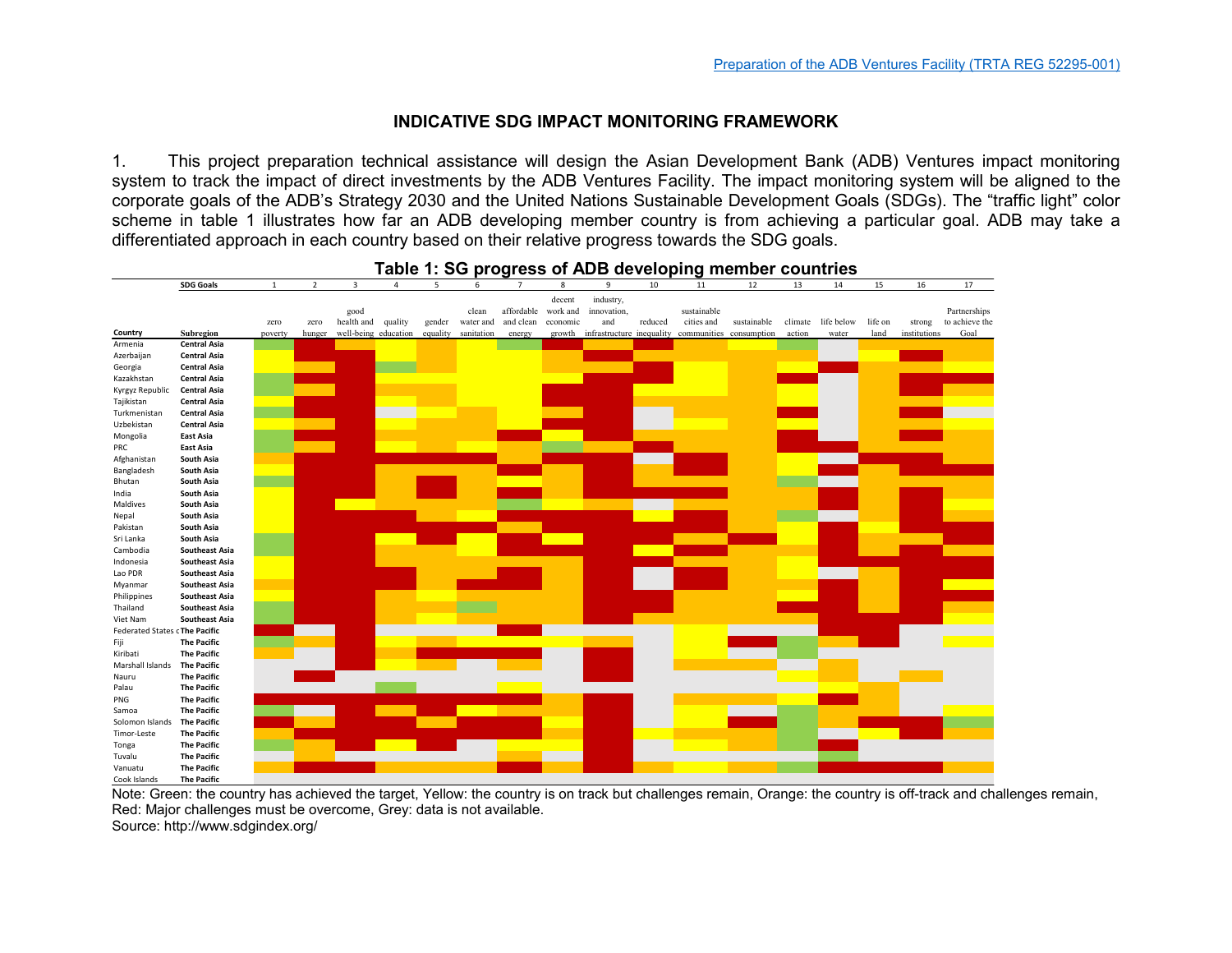## **INDICATIVE SDG IMPACT MONITORING FRAMEWORK**

1. This project preparation technical assistance will design the Asian Development Bank (ADB) Ventures impact monitoring system to track the impact of direct investments by the ADB Ventures Facility. The impact monitoring system will be aligned to the corporate goals of the ADB's Strategy 2030 and the United Nations Sustainable Development Goals (SDGs). The "traffic light" color scheme in table 1 illustrates how far an ADB developing member country is from achieving a particular goal. ADB may take a differentiated approach in each country based on their relative progress towards the SDG goals.



## **Table 1: SG progress of ADB developing member countries**

Note: Green: the country has achieved the target, Yellow: the country is on track but challenges remain, Orange: the country is off-track and challenges remain, Red: Major challenges must be overcome, Grey: data is not available. Source: http://www.sdgindex.org/